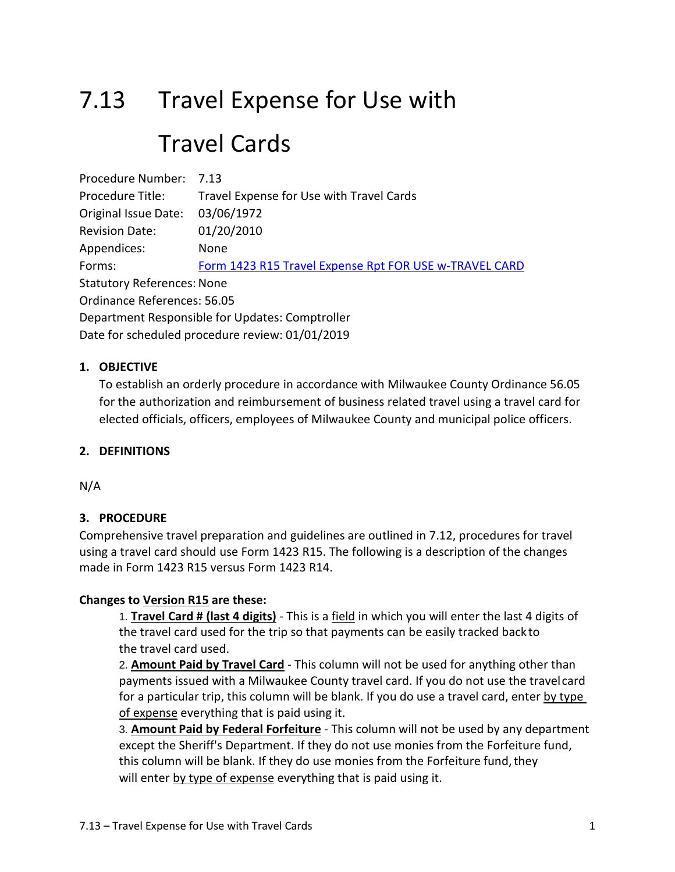# 7.13 Travel Expense for Use with Travel Cards

Procedure Number: 7.13 Procedure Title: Travel Expense for Use with Travel Cards Original Issue Date: 03/06/1972 Revision Date: 01/20/2010 Appendices: None Forms: [Form 1423 R15 Travel Expense Rpt FOR USE w-TRAVEL CARD](https://county.milwaukee.gov/files/county/administrative-services/AMOP/Chapter-7-Financial--Management-Accounting/1423R15TravelExpenseRptFORUSEw-TRAVELCARD.xls) Statutory References: None Ordinance References: 56.05 Department Responsible for Updates: Comptroller Date for scheduled procedure review: 01/01/2019

# **1. OBJECTIVE**

To establish an orderly procedure in accordance with Milwaukee County Ordinance 56.05 for the authorization and reimbursement of business related travel using a travel card for elected officials, officers, employees of Milwaukee County and municipal police officers.

### **2. DEFINITIONS**

N/A

### **3. PROCEDURE**

Comprehensive travel preparation and guidelines are outlined in 7.12, procedures for travel using a travel card should use Form 1423 R15. The following is a description of the changes made in Form 1423 R15 versus Form 1423 R14.

### **Changes to Version R15 are these:**

1. **Travel Card # (last 4 digits)** - This is a field in which you will enter the last 4 digits of the travel card used for the trip so that payments can be easily tracked back to the travel card used.

2. **Amount Paid by Travel Card** - This column will not be used for anything other than payments issued with a Milwaukee County travel card. If you do not use the travelcard for a particular trip, this column will be blank. If you do use a travel card, enter by type of expense everything that is paid using it.

3. **Amount Paid by Federal Forfeiture** - This column will not be used by any department except the Sheriff's Department. If they do not use monies from the Forfeiture fund, this column will be blank. If they do use monies from the Forfeiture fund, they will enter by type of expense everything that is paid using it.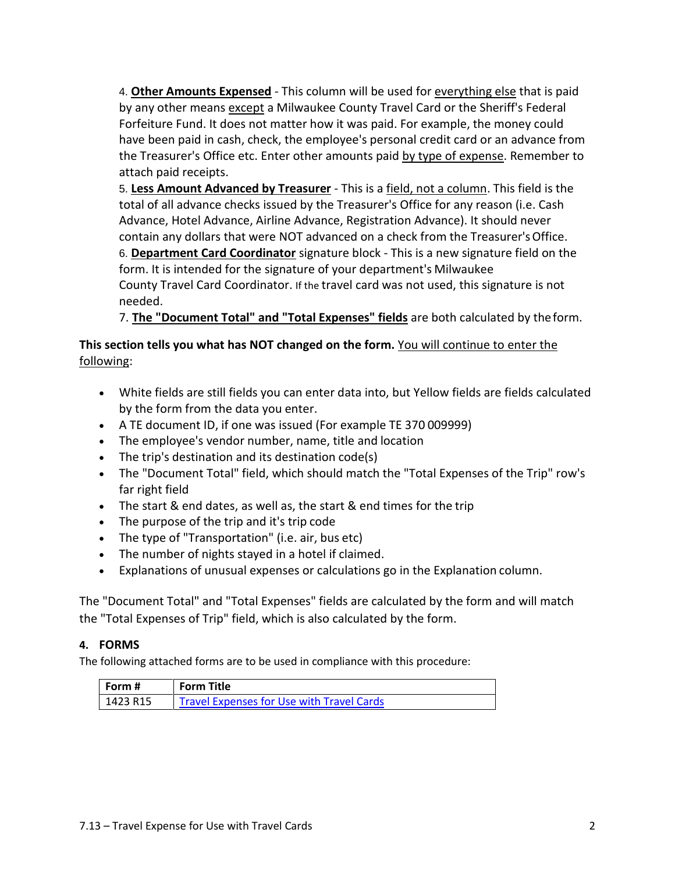4. **Other Amounts Expensed** - This column will be used for everything else that is paid by any other means except a Milwaukee County Travel Card or the Sheriff's Federal Forfeiture Fund. It does not matter how it was paid. For example, the money could have been paid in cash, check, the employee's personal credit card or an advance from the Treasurer's Office etc. Enter other amounts paid by type of expense. Remember to attach paid receipts.

5. **Less Amount Advanced by Treasurer** - This is a field, not a column. This field is the total of all advance checks issued by the Treasurer's Office for any reason (i.e. Cash Advance, Hotel Advance, Airline Advance, Registration Advance). It should never contain any dollars that were NOT advanced on a check from the Treasurer'sOffice. 6. **Department Card Coordinator** signature block - This is a new signature field on the form. It is intended for the signature of your department's Milwaukee County Travel Card Coordinator. If the travel card was not used, this signature is not needed.

7. **The "Document Total" and "Total Expenses" fields** are both calculated by theform.

# **This section tells you what has NOT changed on the form.** You will continue to enter the following:

- White fields are still fields you can enter data into, but Yellow fields are fields calculated by the form from the data you enter.
- A TE document ID, if one was issued (For example TE 370 009999)
- The employee's vendor number, name, title and location
- The trip's destination and its destination code(s)
- The "Document Total" field, which should match the "Total Expenses of the Trip" row's far right field
- The start & end dates, as well as, the start & end times for the trip
- The purpose of the trip and it's trip code
- The type of "Transportation" (i.e. air, bus etc)
- The number of nights stayed in a hotel if claimed.
- Explanations of unusual expenses or calculations go in the Explanation column.

The "Document Total" and "Total Expenses" fields are calculated by the form and will match the "Total Expenses of Trip" field, which is also calculated by the form.

# **4. FORMS**

The following attached forms are to be used in compliance with this procedure:

| Form #   | <b>Form Title</b>                                |
|----------|--------------------------------------------------|
| 1423 R15 | <b>Travel Expenses for Use with Travel Cards</b> |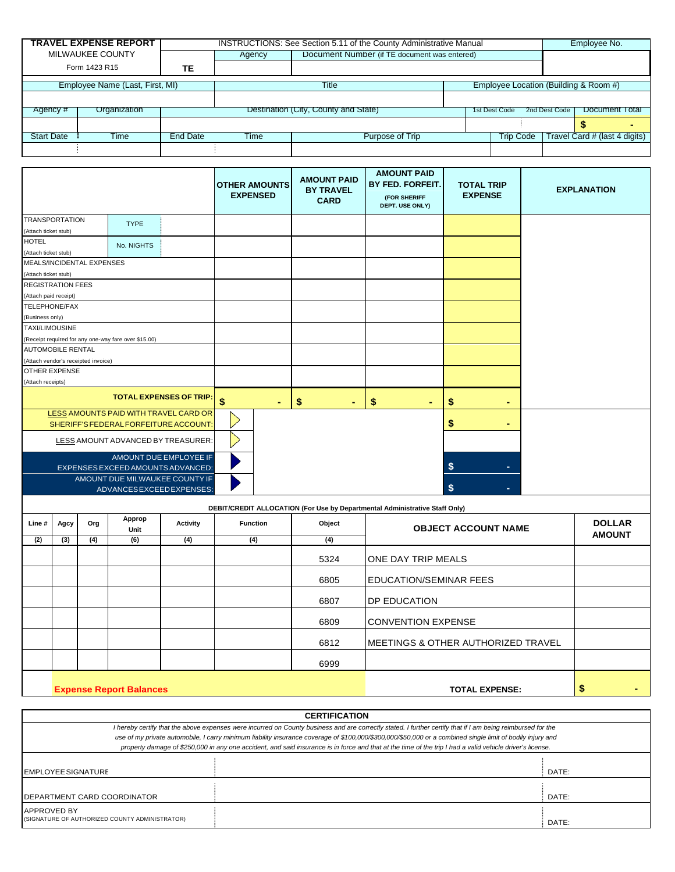|                                 | <b>TRAVEL EXPENSE REPORT</b> |                 | INSTRUCTIONS: See Section 5.11 of the County Administrative Manual |                                              |  |                                       |               |                                 | Employee No. |
|---------------------------------|------------------------------|-----------------|--------------------------------------------------------------------|----------------------------------------------|--|---------------------------------------|---------------|---------------------------------|--------------|
| MILWAUKEE COUNTY                |                              |                 | Agency                                                             | Document Number (if TE document was entered) |  |                                       |               |                                 |              |
| Form 1423 R15                   |                              | TE              |                                                                    |                                              |  |                                       |               |                                 |              |
| Employee Name (Last, First, MI) |                              |                 | Title                                                              |                                              |  | Employee Location (Building & Room #) |               |                                 |              |
|                                 |                              |                 |                                                                    |                                              |  |                                       |               |                                 |              |
| Organization<br>Agency #        |                              |                 | Destination (City, County and State)                               |                                              |  | 1st Dest Code                         | 2nd Dest Code | Document Total                  |              |
|                                 |                              |                 |                                                                    |                                              |  |                                       |               |                                 |              |
| <b>Start Date</b>               | Time                         | <b>End Date</b> | Time                                                               | Purpose of Trip                              |  | <b>Trip Code</b>                      |               | Travel Card $#$ (last 4 digits) |              |
|                                 |                              |                 |                                                                    |                                              |  |                                       |               |                                 |              |

|                                                             |                                                                             |                                |    | <b>OTHER AMOUNTS</b><br><b>EXPENSED</b> | <b>AMOUNT PAID</b><br><b>BY TRAVEL</b><br><b>CARD</b> | <b>AMOUNT PAID</b><br>BY FED. FORFEIT.<br>(FOR SHERIFF<br>DEPT. USE ONLY) | <b>TOTAL TRIP</b><br><b>EXPENSE</b> | <b>EXPLANATION</b> |  |
|-------------------------------------------------------------|-----------------------------------------------------------------------------|--------------------------------|----|-----------------------------------------|-------------------------------------------------------|---------------------------------------------------------------------------|-------------------------------------|--------------------|--|
| <b>TRANSPORTATION</b>                                       | <b>TYPE</b>                                                                 |                                |    |                                         |                                                       |                                                                           |                                     |                    |  |
| (Attach ticket stub)                                        |                                                                             |                                |    |                                         |                                                       |                                                                           |                                     |                    |  |
| <b>HOTEL</b>                                                | No. NIGHTS                                                                  |                                |    |                                         |                                                       |                                                                           |                                     |                    |  |
| (Attach ticket stub)                                        |                                                                             |                                |    |                                         |                                                       |                                                                           |                                     |                    |  |
| MEALS/INCIDENTAL EXPENSES                                   |                                                                             |                                |    |                                         |                                                       |                                                                           |                                     |                    |  |
| (Attach ticket stub)                                        |                                                                             |                                |    |                                         |                                                       |                                                                           |                                     |                    |  |
| <b>REGISTRATION FEES</b>                                    |                                                                             |                                |    |                                         |                                                       |                                                                           |                                     |                    |  |
| (Attach paid receipt)                                       |                                                                             |                                |    |                                         |                                                       |                                                                           |                                     |                    |  |
| TELEPHONE/FAX                                               |                                                                             |                                |    |                                         |                                                       |                                                                           |                                     |                    |  |
| (Business only)                                             |                                                                             |                                |    |                                         |                                                       |                                                                           |                                     |                    |  |
| <b>TAXI/LIMOUSINE</b>                                       |                                                                             |                                |    |                                         |                                                       |                                                                           |                                     |                    |  |
| (Receipt required for any one-way fare over \$15.00)        |                                                                             |                                |    |                                         |                                                       |                                                                           |                                     |                    |  |
| <b>AUTOMOBILE RENTAL</b>                                    |                                                                             |                                |    |                                         |                                                       |                                                                           |                                     |                    |  |
| (Attach vendor's receipted invoice)                         |                                                                             |                                |    |                                         |                                                       |                                                                           |                                     |                    |  |
| <b>OTHER EXPENSE</b>                                        |                                                                             |                                |    |                                         |                                                       |                                                                           |                                     |                    |  |
| (Attach receipts)                                           |                                                                             |                                |    |                                         |                                                       |                                                                           |                                     |                    |  |
|                                                             |                                                                             | <b>TOTAL EXPENSES OF TRIP:</b> | \$ | ٠                                       | \$<br>٠                                               | \$<br>$\blacksquare$                                                      | \$                                  |                    |  |
| LESS AMOUNTS PAID WITH TRAVEL CARD OR                       |                                                                             |                                |    |                                         |                                                       |                                                                           |                                     |                    |  |
| SHERIFF'S FEDERAL FORFEITURE ACCOUNT:                       |                                                                             |                                |    |                                         |                                                       |                                                                           | \$                                  |                    |  |
| LESS AMOUNT ADVANCED BY TREASURER:                          |                                                                             |                                |    |                                         |                                                       |                                                                           |                                     |                    |  |
| AMOUNT DUE EMPLOYEE IF<br>EXPENSES EXCEED AMOUNTS ADVANCED: |                                                                             |                                |    |                                         |                                                       |                                                                           | \$                                  |                    |  |
| AMOUNT DUE MILWAUKEE COUNTY IF                              |                                                                             |                                |    |                                         |                                                       |                                                                           |                                     |                    |  |
| ADVANCESEXCEEDEXPENSES:                                     |                                                                             |                                |    |                                         |                                                       |                                                                           | \$                                  |                    |  |
|                                                             | DEBIT/CREDIT ALLOCATION (For Use by Departmental Administrative Staff Only) |                                |    |                                         |                                                       |                                                                           |                                     |                    |  |

| Line# | Agcy                           | Org | Approp<br>Unit | Activity | <b>Function</b> | Object | <b>OBJECT ACCOUNT NAME</b>                     | <b>DOLLAR</b><br><b>AMOUNT</b> |  |
|-------|--------------------------------|-----|----------------|----------|-----------------|--------|------------------------------------------------|--------------------------------|--|
| (2)   | (3)                            | (4) | (6)            | (4)      | (4)             | (4)    |                                                |                                |  |
|       |                                |     |                |          |                 | 5324   | <b>ONE DAY TRIP MEALS</b>                      |                                |  |
|       |                                |     |                |          |                 | 6805   | EDUCATION/SEMINAR FEES                         |                                |  |
|       |                                |     |                |          |                 | 6807   | <b>IDP EDUCATION</b>                           |                                |  |
|       |                                |     |                |          |                 | 6809   | <b>CONVENTION EXPENSE</b>                      |                                |  |
|       |                                |     |                |          |                 | 6812   | <b>IMEETINGS &amp; OTHER AUTHORIZED TRAVEL</b> |                                |  |
|       |                                |     |                |          |                 | 6999   |                                                |                                |  |
|       | <b>Expense Report Balances</b> |     |                |          |                 |        | <b>TOTAL EXPENSE:</b>                          | \$                             |  |

**CERTIFICATION** *I hereby certify that the above expenses were incurred on County business and are correctly stated. I further certify that if I am being reimbursed for the use of my private automobile, I carry minimum liability insurance coverage of \$100,000/\$300,000/\$50,000 or a combined single limit of bodily injury and property damage of \$250,000 in any one accident, and said insurance is in force and that at the time of the trip I had a valid vehicle driver's license.* EMPLOYEE SIGNATURE **EXECUTE:** DATE: DEPARTMENT CARD COORDINATOR **DATE: DATE: DATE: DATE: DATE: DATE: DATE: DATE:** APPROVED BY (SIGNATURE OF AUTHORIZED COUNTY ADMINISTRATOR)  $\begin{bmatrix} \vdots \end{bmatrix}$